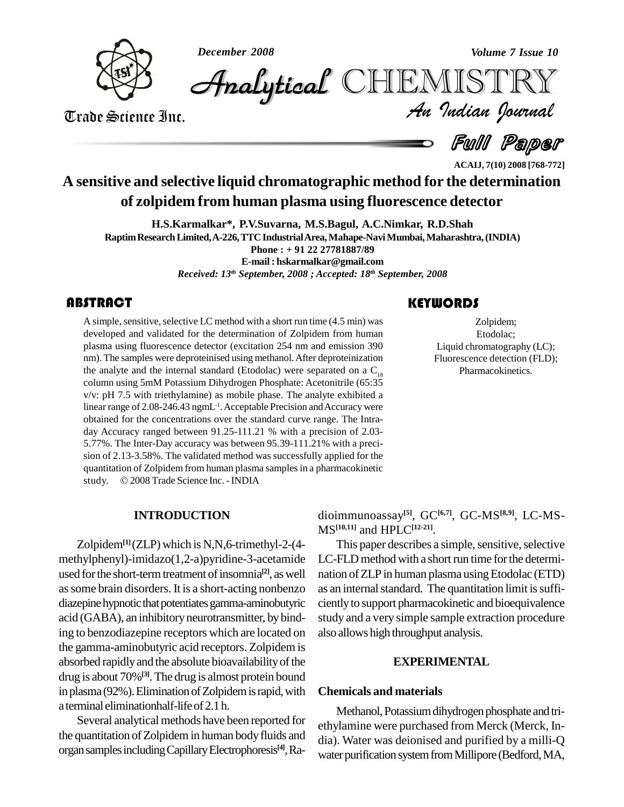*December 2008 Volume 7 Issue 10*



*Volume 7 Issue 10*<br>IISTRY<br>*Indian hournal* CHEMISTRY

Trade Science Inc. Trade Science Inc.

.<br>Full Paper

**ACAIJ, 7(10) 2008 [768-772]**

## **A sensitive and selective liquid chromatographic method for the determination of zolpidem from human plasma using fluorescence detector**

**H.S.Karmalkar\*, P.V.Suvarna, M.S.Bagul, A.C.Nimkar, R.D.Shah RaptimResearchLimited,A-226,TTCIndustrialArea,Mahape-NaviMumbai,Maharashtra,(INDIA) Phone : + 91 22 27781887/89 E-mail : [hskarmalkar@gmail.com](mailto:hskarmalkar@gmail.com)** *Received: 13 th September, 2008 ; Accepted: 18 th September, 2008*

#### **ABSTRACT**

A simple, sensitive, select<br>developed and validated<br>plasma using fluorescenc A simple, sensitive, selective LC method with a short run time (4.5 min) was developed and validated for the determination of Zolpidem from human plasma using fluorescence detector (excitation 254 nm and emission 390 nm). The samples were deproteinised using methanol.After deproteinization the analyte and the internal standard (Etodolac) were separated on a  $C_{18}$  column using 5mM Potassium Dihydrogen Phosphate: Acetonitrile (65:35  $v/v$ : pH 7.5 with triethylamine) as mobile phase. The analyte exhibited a linear range of 2.08-246.43 ngmL<sup>-1</sup>. Acceptable Precision and Accuracy were obtained for the concentrations over the standard curve range. The Intra day Accuracy ranged between 91.25-111.21 % with a precision of 2.03- 5.77%. The Inter-Day accuracy was between 95.39-111.21% with a preci sion of 2.13-3.58%. The validated method was successfully applied for the quantitation of Zolpidem from human plasma samples in a pharmacokinetic study. © 2008 Trade Science Inc. - INDIA quantitation of Zolpidem from human plasma samplesin a pharmacokinetic

Extracted the Community of Community Colpidem;<br>
Liquid chromatography (LC); Zolpidem; Etodolac; Fluorescence detection (FLD); Pharmacokinetics.

#### **INTRODUCTION**

Zolpidem<sup>[1]</sup> (ZLP) which is N,N,6-trimethyl-2-(4methylphenyl)-imidazo(1,2-a)pyridine-3-acetamide used for the short-term treatment of insomnia<sup>[2]</sup>, as well nat assome brain disorders. It is a short-acting nonbenzo diazepine hypnotic that potentiates gamma-aminobutyric acid (GABA), an inhibitory neurotransmitter, by binding to benzodiazepine receptors which are located on the gamma-aminobutyric acid receptors. Zolpidem is absorbed rapidly and the absolute bioavailability of the drug isabout 70%**[3]**.The drug is almost protein bound in plasma (92%). Elimination of Zolpidem is rapid, with a terminal eliminationhalf-lifeof2.1h.

Several analytical methods have been reported for the quantitation of Zolpidem in human body fluids and organsamplesincludingCapillaryElectrophoresis **[4]**,Radioimmunoassay **[5]**, GC**[6,7]**, GC-MS **[8,9]**, LC-MS- MS **[10,11]** and HPLC**[12-21]**.

This paper describes a simple, sensitive, selective LC-FLD method with a short run time for the determination of ZLP in human plasma using Etodolac (ETD) as an internal standard. The quantitation limit is sufficientlyto support pharmacokinetic and bioequivalence study and a very simple sample extraction procedure also allowshigh throughput analysis.

#### **EXPERIMENTAL**

#### **Chemicals and materials**

Methanol, Potassium dihydrogen phosphate and triethylamine were purchased from Merck (Merck, In dia). Water was deionised and purified by a milli-Q water purification system from Millipore (Bedford, MA,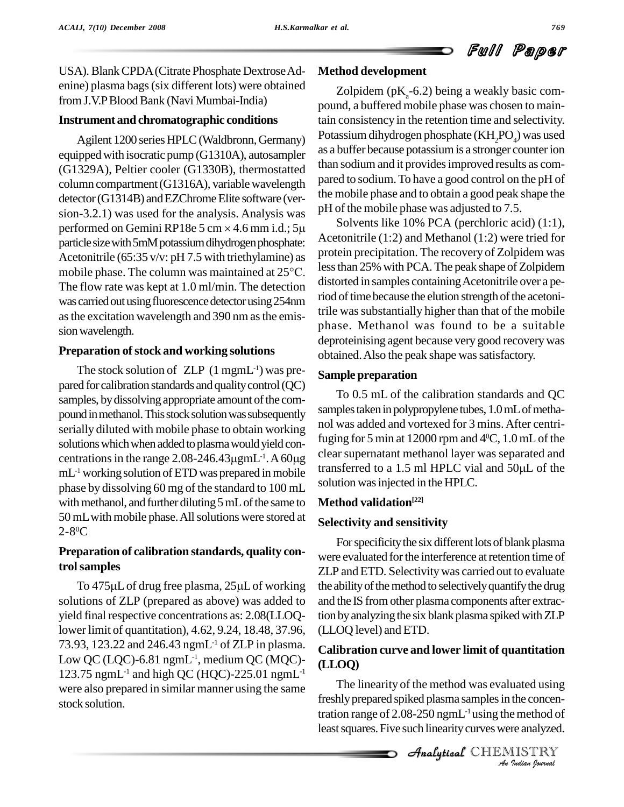USA).BlankCPDA(Citrate Phosphate DextroseAd enine) plasma bags (six different lots) were obtained<br>
Zolpidem (pK -6.2) being a weakly basic comfrom J.V.P Blood Bank (Navi Mumbai-India)

#### **Instrument and chromatographic conditions**

Agilent 1200 series HPLC (Waldbronn, Germany) equippedwith isocratic pump (G1310A), autosampler (G1329A), Peltier cooler (G1330B), thermostatted column compartment(G1316A), variable wavelength detector (G1314B) and EZChrome Elite software (version-3.2.1) was used for the analysis. Analysis was  $P^{\text{H}\,O}$ detector (G1314B) and EZChrome Elite software (ver-<br>sion-3.2.1) was used for the analysis. Analysis was pH of the<br>performed on Gemini RP18e 5 cm  $\times$  4.6 mm i.d.; 5µ Solv particle size with 5mM potassium dihydrogen phosphate:<br>Acetonitrile (65:35 v/v: pH 7.5 with triethylamine) as provide phase. The column was maintained at 25°C. Acetonitrile (65:35 v/v: pH 7.5 with triethylamine) as The flow rate was kept at 1.0 ml/min. The detection was carried out using fluorescence detector using 254nm asthe excitation wavelength and 390 nm asthe emis sion wavelength.

#### **Preparation of stock and working solutions**

The stock solution of  $ZLP(1)$  mgmL<sup>-1</sup>) was prepared for calibration standards and quality control  $(QC)$ samples, by dissolving appropriate amount of the compound in methanol. This stock solution was subsequently serially diluted with mobile phase to obtain working solutions which when added to plasma would yield con- $\frac{109}{100}$ serially diluted with mobile phase to obtain working<br>solutions which when added to plasma would yield con-<br>centrations in the range 2.08-246.43 $\mu$ gmL<sup>-1</sup>. A 60 $\mu$ g clear su centrations in the range  $2.08-246.43\mu$ gmL<sup>-1</sup>. A  $60\mu$ g  $mL<sup>-1</sup>$  working solution of ETD was prepared in mobile  $\frac{r_{\text{max}}}{r}$ phase by dissolving 60 mg of the standard to 100 mL with methanol, and further diluting 5 mL of the same to 50 mL with mobile phase. All solutions were stored at 2-8<sup>o</sup>C

#### **Preparation of calibration standards, quality controlsamples**

To  $475 \mu L$  of drug free plasma,  $25 \mu L$  of working solutions of ZLP (prepared as above) was added to yield final respective concentrations as: 2.08(LLOQlower limit of quantitation), 4.62, 9.24, 18.48, 37.96, 73.93, 123.22 and 246.43 ngmL<sup>-1</sup> of ZLP in plasma.  $\Gamma$ Low QC (LQC)-6.81 ngmL<sup>-1</sup>, medium QC (MQC)- $\overline{d}$ 123.75 ngmL<sup>-1</sup> and high QC (HQC)-225.01 ngmL<sup>-1</sup> were also prepared in similar manner using the same stock solution.

#### **Method development**

pound, a buffered mobile phase was chosen to maintain consistency in the retention time and selectivity. Potassium dihydrogen phosphate  $(KH_2PO_4)$  was used as a buffer because potassium is a stronger counter ion than sodium and it providesimproved results as com pared to sodium.To have a good control on the pH of the mobile phase and to obtain a good peak shape the pH of the mobile phase was adjusted to 7.5.

Solvents like 10% PCA (perchloric acid) (1:1), Acetonitrile (1:2) and Methanol (1:2) were tried for protein precipitation. The recovery of Zolpidem was less than 25% with PCA. The peak shape of Zolpidem distorted in samples containing Acetonitrile over a period of time because the elution strength of the acetonitrile was substantially higher than that of the mobile phase. Methanol was found to be a suitable deproteinising agent because very good recoverywas obtained. Also the peak shape was satisfactory.

#### **Sample preparation**

To 0.5 mL of the calibration standards and QC samples taken in polypropylene tubes, 1.0 mL of methanol was added and vortexed for 3 mins.After centrifuging for 5 min at 12000 rpm and 4 <sup>0</sup>C,1.0 mLof the clear supernatant methanol layer was separated and fuging for 5 min at 12000 rpm and 4°C, 1.0 mL of the<br>clear supernatant methanol layer was separated and<br>transferred to a 1.5 ml HPLC vial and 50µL of the solution was injected in the HPLC.

#### **Method validation [22]**

#### **Selectivity and sensitivity**

For specificity the six different lots of blank plasma were evaluated for the interference at retention time of ZLP and ETD. Selectivity was carried out to evaluate the ability of the method to selectively quantify the drug and the IS from other plasma components after extraction by analyzing the six blank plasma spiked with ZLP (LLOQ level) and ETD.

#### **Calibration curve and lower limit of quantitation (LLOQ)**

The linearity of the method was evaluated using *Indian*<br>*Indian*<br>*IISTRY*<br>*IISTRY*<br>*IISTRY* freshly prepared spiked plasma samples in the concentration range of 2.08-250 ngmL -1 using themethod of least squares. Five such linearity curves were analyzed.

CHEMISTRY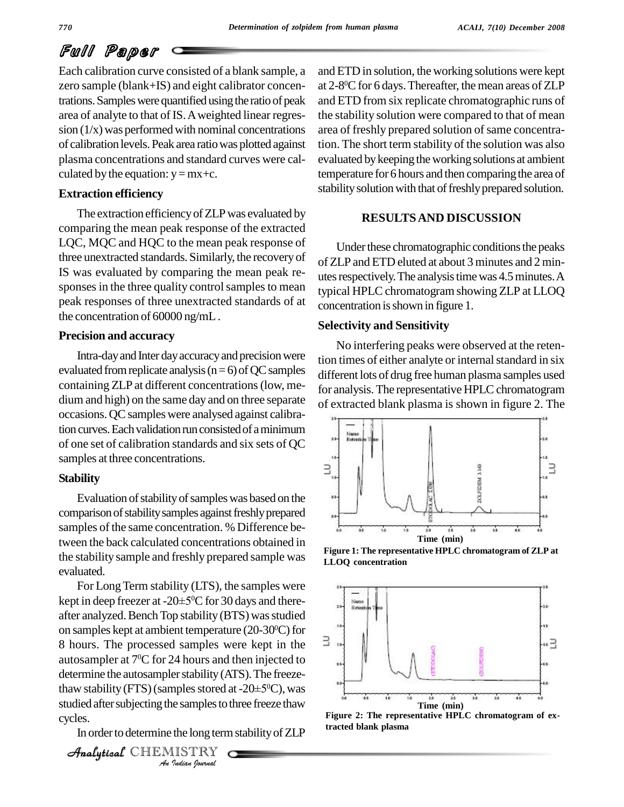# Full Paper

Each calibration curve consisted of a blank sample, a zero sample (blank+IS) and eight calibrator concentrations. Samples were quantified using the ratio of peak area of analyte to thatof IS.Aweighted linear regres  $sion (1/x)$  was performed with nominal concentrations of calibration levels.Peak area ratiowas plotted against plasma concentrations and standard curves were cal culated by the equation:  $y = mx+c$ .

#### **Extraction efficiency**

The extraction efficiency of ZLP was evaluated by comparing the mean peak response of the extracted LQC, MQC and HQC to the mean peak response of three unextracted standards. Similarly, the recoveryof IS was evaluated by comparing the mean peak re sponses in the three quality control samples to mean peak responses of three unextracted standards of at the concentration of 60000 ng/mL.

#### **Precision and accuracy**

Intra-day and Inter day accuracy and precision were evaluated from replicate analysis ( $n=6$ ) of QC samples containing ZLP at different concentrations(low, me dium and high) on the same day and on three separate occasions. QC samples were analysed against calibration curves. Each validation run consisted of a minimum of one set of calibration standards and six sets of QC samples at three concentrations.

#### **Stability**

Evaluation of stability of samples was based on the comparison of stability samples against freshly prepared samples of the same concentration. % Difference between the back calculated concentrations obtained in the stability sample and freshly prepared sample was evaluated.

determine the autosampler stability (ATS). The freeze-*Indian*<br>*Indian*<br>*Indian*<br>*Indian bournal* autosampler at 7<sup>o</sup>C for 24 hours and then injected to<br>determine the autosampler stability (ATS). The freeze-<br>thaw stability (FTS) (samples stored at -20±5<sup>o</sup>C), was For Long Term stability (LTS), the samples were evaluated.<br>For Long Term stability (LTS), the samples were<br>kept in deep freezer at -20±5<sup>0</sup>C for 30 days and thereafter analyzed. Bench Top stability (BTS) was studied on samples kept at ambient temperature (20-30<sup>o</sup>C) for 8 hours. The processed samples were kept in the  $\exists$ autosampler at  $7^{\circ}$ C for 24 hours and then injected to studied after subjecting the samples to three freeze thaw cycles.

In order to determine the long term stability of ZLP

CHEMISTRY

and ETD in solution, the working solutions were kept at 2-8 <sup>0</sup>Cfor 6 days.Thereafter, the mean areas of ZLP and ETD from six replicate chromatographic runs of the stability solution were compared to that of mean area of freshly prepared solution of same concentration. The short term stability of the solution was also evaluated by keeping the working solutions at ambient temperature for 6 hours and then comparing the area of stability solution with that of freshly prepared solution.

#### **RESULTSAND DISCUSSION**

Under these chromatographic conditions the peaks of ZLP and ETD eluted at about 3 minutes and 2 min utes respectively. The analysis time was 4.5 minutes. A typical HPLC chromatogram showing ZLP at LLOQ concentration is shown in figure 1.

#### **Selectivity and Sensitivity**

No interfering peaks were observed at the retention times of either analyte or internal standard in six different lots of drug free human plasma samples used for analysis. The representative HPLC chromatogram of extracted blank plasma is shown in figure 2. The



**Figure 1: The representative HPLC chromatogram of ZLP at LLOQ concentration**



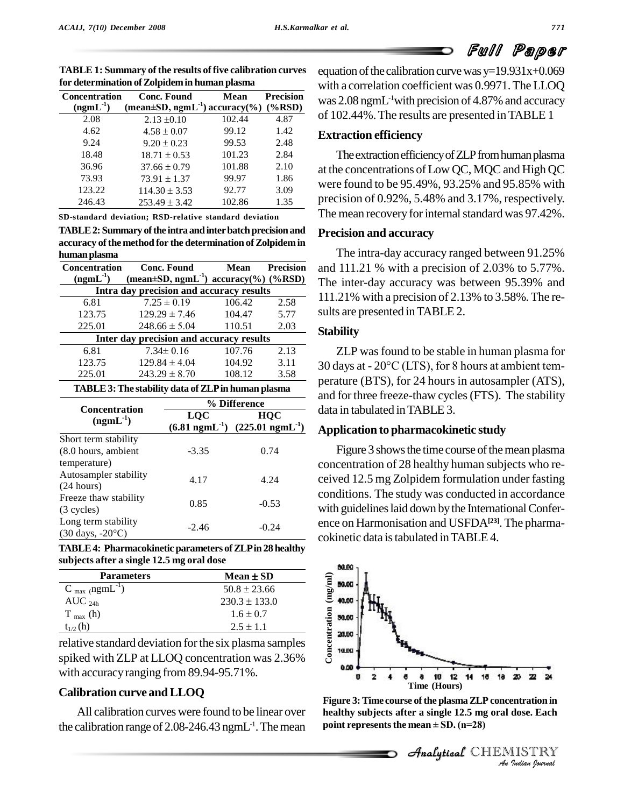

|                                   | <b>TABLE 1: Summary of the results of five calibration curves</b> |              | equ  |
|-----------------------------------|-------------------------------------------------------------------|--------------|------|
|                                   | for determination of Zolpidem in human plasma                     |              | witl |
| $\alpha$ $\beta$ $\alpha$ $\beta$ |                                                                   | $\mathbf{v}$ |      |

| for determination of Zolpidem in human plasma |                                                   |        |                  |
|-----------------------------------------------|---------------------------------------------------|--------|------------------|
| <b>Concentration</b>                          | <b>Conc. Found</b>                                | Mean   | <b>Precision</b> |
| $(ngmL^{-1})$                                 | (mean $\pm SD$ , ngmL <sup>-1</sup> ) accuracy(%) |        | $(\%RSD)$        |
| 2.08                                          | $2.13 \pm 0.10$                                   | 102.44 | 4.87             |
| 4.62                                          | $4.58 \pm 0.07$                                   | 99.12  | 1.42             |
| 9.24                                          | $9.20 \pm 0.23$                                   | 99.53  | 2.48             |
| 18.48                                         | $18.71 \pm 0.53$                                  | 101.23 | 2.84             |
| 36.96                                         | $37.66 \pm 0.79$                                  | 101.88 | 2.10             |
| 73.93                                         | $73.91 \pm 1.37$                                  | 99.97  | 1.86             |
| 123.22                                        | $114.30 \pm 3.53$                                 | 92.77  | 3.09             |
| 246.43                                        | $253.49 \pm 3.42$                                 | 102.86 | 1.35             |

**SD-standard deviation; RSD-relative standard deviation**

**TABLE2:Summary ofthe intra andinterbatchprecisionand accuracy** of the method for the determination of Zolpidem in **humanplasma**

| human plasma                          |  |                                                          |              |                     |
|---------------------------------------|--|----------------------------------------------------------|--------------|---------------------|
| <b>Concentration</b>                  |  | <b>Conc. Found</b>                                       | <b>Mean</b>  | <b>Precision</b>    |
| $(ng m L^{-1})$                       |  | (mean $\pm SD$ , ngmL <sup>-1</sup> ) accuracy(%) (%RSD) |              |                     |
|                                       |  | Intra day precision and accuracy results                 |              |                     |
| 6.81                                  |  | $7.25 \pm 0.19$                                          | 106.42       | 2.58                |
| 123.75                                |  | $129.29 \pm 7.46$                                        | 104.47       | 5.77                |
| 225.01                                |  | $248.66 \pm 5.04$                                        | 110.51       | 2.03                |
|                                       |  | Inter day precision and accuracy results                 |              |                     |
| 6.81                                  |  | $7.34 \pm 0.16$                                          | 107.76       | 2.13                |
| 123.75                                |  | $129.84 \pm 4.04$                                        | 104.92       | 3.11                |
| 225.01                                |  | $243.29 \pm 8.70$                                        | 108.12       | 3.58                |
|                                       |  | TABLE 3: The stability data of ZLP in human plasma       |              |                     |
| <b>Concentration</b><br>$(ngmL^{-1})$ |  |                                                          | % Difference |                     |
|                                       |  | LOC                                                      |              | HQC                 |
|                                       |  | $(6.81 \text{ ngmL}^{-1})$ $(225.01 \text{ ngmL}^{-1})$  |              |                     |
| Short term stability                  |  |                                                          |              |                     |
| (8.0 hours, ambient                   |  | $-3.35$                                                  |              | 0.74                |
| temperature)                          |  |                                                          |              |                     |
| Autosampler stability                 |  | 4 <sub>1</sub>                                           |              | $\Lambda$ $\Lambda$ |

| <b>Parameters</b>                                                                                     |         | $Mean \pm SD$ |               |
|-------------------------------------------------------------------------------------------------------|---------|---------------|---------------|
| TABLE 4: Pharmacokinetic parameters of ZLP in 28 healthy<br>subjects after a single 12.5 mg oral dose |         |               | G.            |
| Long term stability<br>$(30 \text{ days}, -20\text{°C})$                                              | $-2.46$ | $-0.24$       | ence<br>cokir |
| $(3$ cycles)                                                                                          | U.0.2   | -0.00         | with :        |

Autosampler stating  $4.17$   $4.24$ <br>(24 hours)

 $(3 \text{ cycles})$  0.85 -0.53

| subjects after a single 12.5 mg oral dose |                   |  |
|-------------------------------------------|-------------------|--|
| <b>Parameters</b>                         | $Mean \pm SD$     |  |
| C $_{\text{max}}$ (ngmL <sup>-1</sup> )   | $50.8 \pm 23.66$  |  |
| AUC $_{24h}$                              | $230.3 \pm 133.0$ |  |
| $T_{max}$ (h)                             | $1.6 \pm 0.7$     |  |
| $t_{1/2}$ (h)                             | $2.5 \pm 1.1$     |  |

relative standard deviation for the six plasma samples spiked with ZLP at LLOQ concentration was 2.36%  $\frac{3}{800}$ with accuracy ranging from 89.94-95.71%.

#### **Calibration curve andLLOQ**

Freeze thaw stability

All calibration curves were found to be linear over the calibration range of 2.08-246.43 ngmL<sup>-1</sup>. The mean point r

Precision was 2.08 ngmL<sup>-1</sup>with precision of 4.87% and accuracy equation of the calibration curve was  $y=19.931x+0.069$ with a correlation coefficient was 0.9971.The LLOQ of 102.44%.The results are presented inTABLE 1

#### **Extraction efficiency**

The extraction efficiency of ZLP from human plasma at the concentrations of Low QC, MQC and High QC were found to be 95.49%, 93.25% and 95.85% with precision of 0.92%, 5.48% and 3.17%, respectively. The mean recovery for internal standard was 97.42%.

#### **Precision and accuracy**

**Precision** and 111.21 % with a precision of 2.03% to 5.77%. **(%RSD)** The inter-day accuracy was between 95.39% and The intra-day accuracy ranged between 91.25% 111.21% with a precision of 2.13% to 3.58%.The re sults are presented inTABLE 2.

#### **Stability**

ZLP wasfound to be stable in human plasma for <sup>30</sup> days at - <sup>20</sup>°C (LTS), for <sup>8</sup> hours at ambient tem perature (BTS), for 24 hours in autosampler (ATS), and for three freeze-thaw cycles (FTS). The stability data in tabulated inTABLE 3.

### **(225.01 ngmL -1) Application to pharmacokinetic study**

Figure 3 shows the time course of the mean plasma concentration of 28 healthy human subjects who re ceived 12.5 mg Zolpidem formulation under fasting conditions. The study was conducted in accordance with guidelines laid down by the International Conference on Harmonisation and USFDA**[23]**. The pharma cokinetic data is tabulated in TABLE 4.



**20 22 24<br>entration in<br>dose. Each<br>IISTRY**<br>*Judian Journal* **Figure 3:Time course ofthe plasmaZLP concentration in point representsthe mean <sup>±</sup> SD. (n=28) healthy subjects after a single 12.5 mg oral dose. Each**

**Analytical** CHEMISTRY